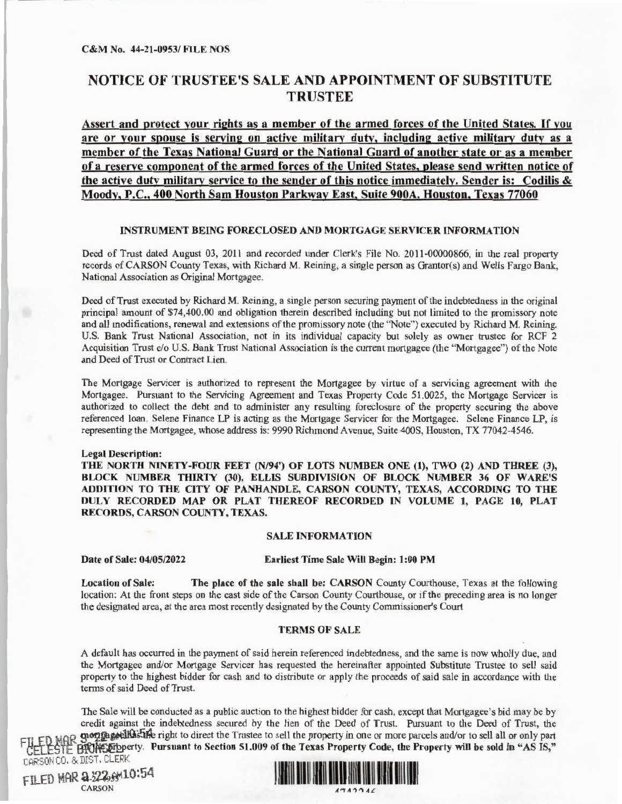# NOTICE OF TRUSTEE'S SALE AND APPOINTMENT OF SUBSTITUTE **TRUSTEE**

**Assert and protect** your **rights as a** member **of the** armed forces **of the United States.** If you **are or** your **spouse is serving** on **active military dutv, including active military** duty as a **member of the Texas National Guard or the National Guard of another state** or **as a member**  of a **reserve component** of **the armed forces** of the **United States, please send written notice** of **the active duty military service to the sender of this** notice **immediately. Sender is: Codilis** & **Moody, P.C., 400 North Sam Houston Parkway East, Suite 900A, Houston, Texas** 77060

## **INSTRUMENT BEING FORECLOSED AND MORTGAGE SERVICER INFORMATION**

Deed of Trust dated August 03, 2011 and recorded under Clerk's File No. 2011-00000866, in the real property records of CARSON County Texas, with Richard M. Reining, a single person as Grantor(s) and Wells Fargo Banlc, National Association as Original Mortgagee.

Deed of Trust executed by Richard M. Reining, a single person securing payment of the indebtedness in the original principal amount of \$74,400.00 and obligation therein described including but not limited to the promissory note and all modifications, renewal and extensions of the promissory note (the ''Note" ) executed by Richard M. Reining. U.S. Bank Trust National Association, not in its individual capacity but solely as owner trustee for RCF 2 Acquisition Trust c/o U.S. Bank Trust National Association is the current mortgagee (the "Mortgagee") of the Note and Deed of Trust or Contract Lien.

The Mortgage Servicer is authorized to represent the Mortgagee by virtue of a servicing agreement with the Mortgagee. Pursuant to the Servicing Agreement and Texas Property Code 51.0025, the Mortgage Servicer is authorized to collect the debt and to administer any resulting foreclosure of the property securing the above referenced loan. Selene Finance LP is acting as the Mortgage Servicer for the Mortgagee. Selene Finance LP, is representing the Mortgagee, whose address is: 9990 Richmond Avenue, Suite 400S, Houston, TX 77042-4546.

#### Legal Description:

**THE NORTH NINETY-FOUR FEET (N/94') OF LOTS NUMBER ONE (1), TWO (2) AND THREE** (3), **BLOCK NUMBER THIRTY (30), ELLIS SUBDIVISION OF BLOCK NUMBER 36 OF WARE'S ADDITION TO THE CITY OF PANHANDLE, CARSON COUNTY, TEXAS, ACCORDING TO THE DULY RECORDED MAP OR PLAT THEREOF RECORDED IN VOLUME 1, PAGE** IO, **PLAT RECORDS, CARSON COUNTY, TEXAS.** 

# **SALE INFORMATION**

## Date of Sale: 04/0S/2022 Earliest Time Sale Will Begin: 1 :00 PM

Location of Sale: The place of the sale shall be: CARSON County Courthouse, Texas at the following location: At the front steps on the east side of the Carson County Courthouse, or if the preceding area is no longer the designated area, at the area most recently designated by the County Commissioner's Court

### **TERMS OF SALE**

A default has occurred in the payment of said herein referenced indebtedness, and the same is now wholly due, and the Mortgagee and/or Mortgage Servicer has requested the hereinafter appointed Substitute Trustee to sell said property to the highest bidder for cash and to distribute or apply the proceeds of said sale in accordance with the terms of said Deed of Trust.

The Sale will be conducted as a public auction to the highest bidder for cash, except that Mortgagee's bid may be by credit against the indebtedness secured by the lien of the Deed of Trust. Pursuant to the Deed of Trust, the f **good general limits** in the direct the Trustee to sell the property in one or more parcels and/or to sell all or only part CELESTE **HICH SEP** DEVICES FOR THE REAL PURSUANT **PURSUAL CELESTER PROPERTY CODE, the Property will be sold in "AS IS,"** CARSON CO. & DIST. CLERK

FILED MAR a 222 6M10:54 CARSON